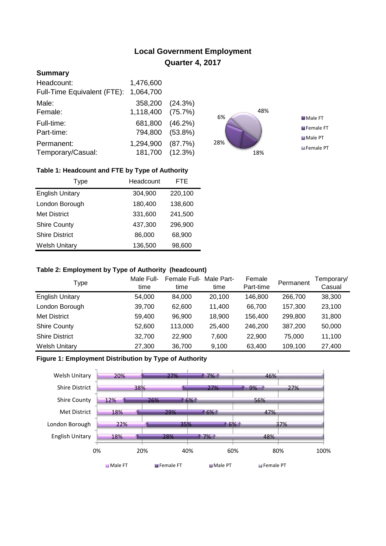# **Local Government Employment Quarter 4, 2017**

# **Summary**

| Headcount:<br>Full-Time Equivalent (FTE): | 1,476,600<br>1,064,700       |            |
|-------------------------------------------|------------------------------|------------|
| Male:<br>Female:                          | 358,200 (24.3%)<br>1,118,400 | (75.7%)    |
| Full-time:<br>Part-time:                  | 681,800<br>794,800 (53.8%)   | $(46.2\%)$ |
| Permanent:<br>Temporary/Casual:           | 1,294,900<br>181,700 (12.3%) | (87.7%)    |



## **Table 1: Headcount and FTE by Type of Authority**

| Type                   | Headcount | FTE     |
|------------------------|-----------|---------|
| <b>English Unitary</b> | 304,900   | 220,100 |
| London Borough         | 180,400   | 138,600 |
| <b>Met District</b>    | 331,600   | 241,500 |
| <b>Shire County</b>    | 437,300   | 296,900 |
| <b>Shire District</b>  | 86,000    | 68,900  |
| <b>Welsh Unitary</b>   | 136,500   | 98,600  |

#### **Table 2: Employment by Type of Authority (headcount)**

| Type                   | Male Full-<br>time | Female Full-<br>time | Male Part-<br>time | Female<br>Part-time | Permanent | Femporary/<br>Casual |
|------------------------|--------------------|----------------------|--------------------|---------------------|-----------|----------------------|
| <b>English Unitary</b> | 54,000             | 84.000               | 20.100             | 146,800             | 266,700   | 38,300               |
| London Borough         | 39,700             | 62,600               | 11.400             | 66,700              | 157,300   | 23,100               |
| <b>Met District</b>    | 59,400             | 96,900               | 18,900             | 156,400             | 299,800   | 31,800               |
| <b>Shire County</b>    | 52,600             | 113,000              | 25,400             | 246.200             | 387,200   | 50,000               |
| <b>Shire District</b>  | 32,700             | 22,900               | 7,600              | 22,900              | 75,000    | 11,100               |
| <b>Welsh Unitary</b>   | 27,300             | 36,700               | 9,100              | 63,400              | 109,100   | 27,400               |

## **Figure 1: Employment Distribution by Type of Authority**